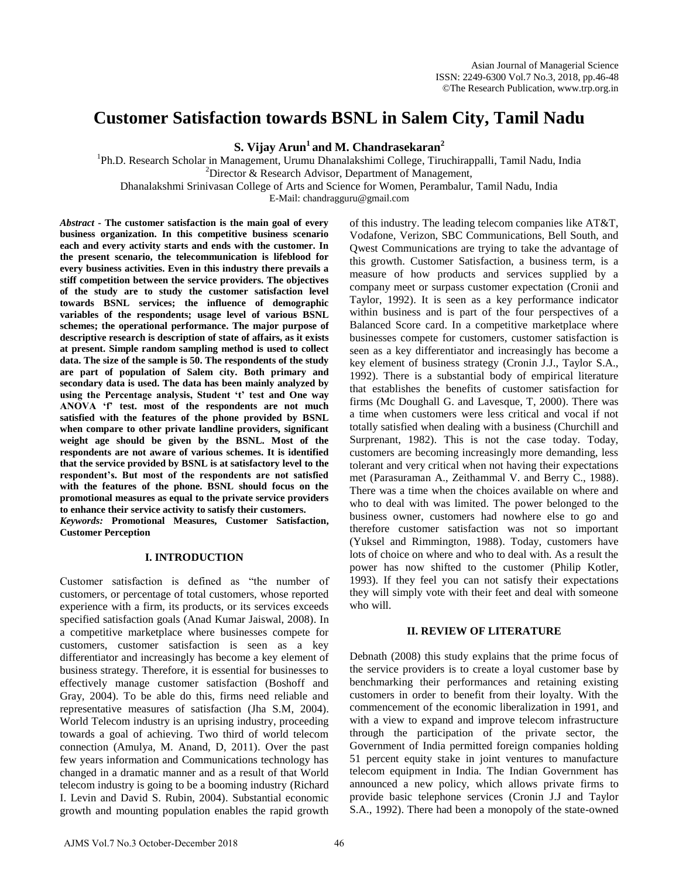# **Customer Satisfaction towards BSNL in Salem City, Tamil Nadu**

**S. Vijay Arun<sup>1</sup>and M. Chandrasekaran<sup>2</sup>**

<sup>1</sup>Ph.D. Research Scholar in Management, Urumu Dhanalakshimi College, Tiruchirappalli, Tamil Nadu, India  $2^2$ Director & Research Advisor, Department of Management, Dhanalakshmi Srinivasan College of Arts and Science for Women, Perambalur, Tamil Nadu, India

E-Mail: chandragguru@gmail.com

*Abstract* **- The customer satisfaction is the main goal of every business organization. In this competitive business scenario each and every activity starts and ends with the customer. In the present scenario, the telecommunication is lifeblood for every business activities. Even in this industry there prevails a stiff competition between the service providers. The objectives of the study are to study the customer satisfaction level towards BSNL services; the influence of demographic variables of the respondents; usage level of various BSNL schemes; the operational performance. The major purpose of descriptive research is description of state of affairs, as it exists at present. Simple random sampling method is used to collect data. The size of the sample is 50. The respondents of the study are part of population of Salem city. Both primary and secondary data is used. The data has been mainly analyzed by using the Percentage analysis, Student 't' test and One way ANOVA 'f' test. most of the respondents are not much satisfied with the features of the phone provided by BSNL when compare to other private landline providers, significant weight age should be given by the BSNL. Most of the respondents are not aware of various schemes. It is identified that the service provided by BSNL is at satisfactory level to the respondent's. But most of the respondents are not satisfied with the features of the phone. BSNL should focus on the promotional measures as equal to the private service providers to enhance their service activity to satisfy their customers.**  *Keywords:* **Promotional Measures, Customer Satisfaction, Customer Perception**

## **I. INTRODUCTION**

Customer satisfaction is defined as "the number of customers, or percentage of total customers, whose reported experience with a firm, its products, or its services exceeds specified satisfaction goals (Anad Kumar Jaiswal, 2008). In a competitive marketplace where businesses compete for customers, customer satisfaction is seen as a key differentiator and increasingly has become a key element of business strategy. Therefore, it is essential for businesses to effectively manage customer satisfaction (Boshoff and Gray, 2004). To be able do this, firms need reliable and representative measures of satisfaction (Jha S.M, 2004). World Telecom industry is an uprising industry, proceeding towards a goal of achieving. Two third of world telecom connection (Amulya, M. Anand, D, 2011). Over the past few years information and Communications technology has changed in a dramatic manner and as a result of that World telecom industry is going to be a booming industry (Richard I. Levin and David S. Rubin, 2004). Substantial economic growth and mounting population enables the rapid growth

of this industry. The leading telecom companies like AT&T, Vodafone, Verizon, SBC Communications, Bell South, and Qwest Communications are trying to take the advantage of this growth. Customer Satisfaction, a business term, is a measure of how products and services supplied by a company meet or surpass customer expectation (Cronii and Taylor, 1992). It is seen as a key performance indicator within business and is part of the four perspectives of a Balanced Score card. In a competitive marketplace where businesses compete for customers, customer satisfaction is seen as a key differentiator and increasingly has become a key element of business strategy (Cronin J.J., Taylor S.A., 1992). There is a substantial body of empirical literature that establishes the benefits of customer satisfaction for firms (Mc Doughall G. and Lavesque, T, 2000). There was a time when customers were less critical and vocal if not totally satisfied when dealing with a business (Churchill and Surprenant, 1982). This is not the case today. Today, customers are becoming increasingly more demanding, less tolerant and very critical when not having their expectations met (Parasuraman A., Zeithammal V. and Berry C., 1988). There was a time when the choices available on where and who to deal with was limited. The power belonged to the business owner, customers had nowhere else to go and therefore customer satisfaction was not so important (Yuksel and Rimmington, 1988). Today, customers have lots of choice on where and who to deal with. As a result the power has now shifted to the customer (Philip Kotler, 1993). If they feel you can not satisfy their expectations they will simply vote with their feet and deal with someone who will.

## **II. REVIEW OF LITERATURE**

Debnath (2008) this study explains that the prime focus of the service providers is to create a loyal customer base by benchmarking their performances and retaining existing customers in order to benefit from their loyalty. With the commencement of the economic liberalization in 1991, and with a view to expand and improve telecom infrastructure through the participation of the private sector, the Government of India permitted foreign companies holding 51 percent equity stake in joint ventures to manufacture telecom equipment in India. The Indian Government has announced a new policy, which allows private firms to provide basic telephone services (Cronin J.J and Taylor S.A., 1992). There had been a monopoly of the state-owned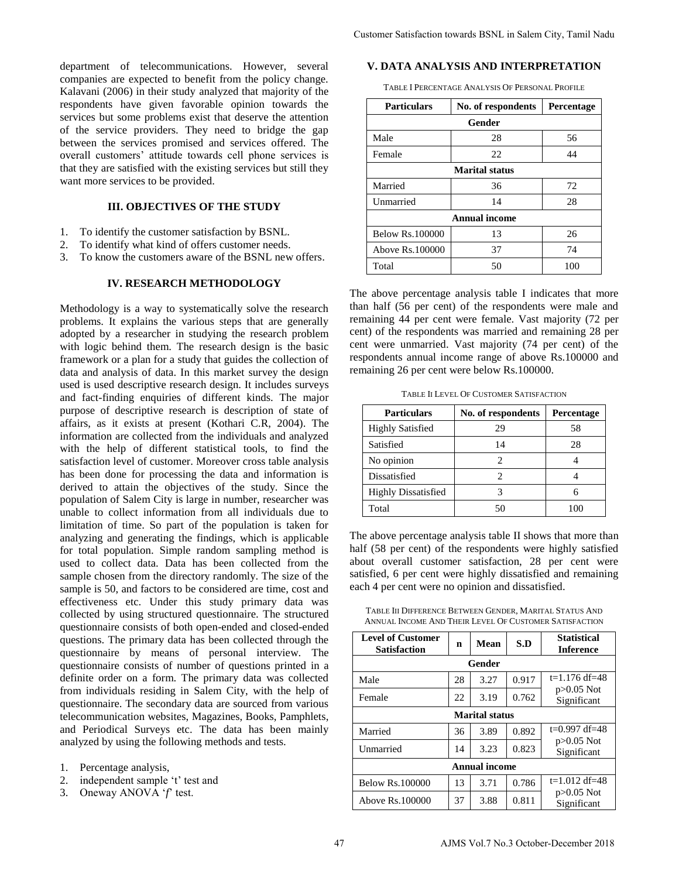department of telecommunications. However, several companies are expected to benefit from the policy change. Kalavani (2006) in their study analyzed that majority of the respondents have given favorable opinion towards the services but some problems exist that deserve the attention of the service providers. They need to bridge the gap between the services promised and services offered. The overall customers' attitude towards cell phone services is that they are satisfied with the existing services but still they want more services to be provided.

# **III. OBJECTIVES OF THE STUDY**

- 1. To identify the customer satisfaction by BSNL.
- 2. To identify what kind of offers customer needs.
- 3. To know the customers aware of the BSNL new offers.

#### **IV. RESEARCH METHODOLOGY**

Methodology is a way to systematically solve the research problems. It explains the various steps that are generally adopted by a researcher in studying the research problem with logic behind them. The research design is the basic framework or a plan for a study that guides the collection of data and analysis of data. In this market survey the design used is used descriptive research design. It includes surveys and fact-finding enquiries of different kinds. The major purpose of descriptive research is description of state of affairs, as it exists at present (Kothari C.R, 2004). The information are collected from the individuals and analyzed with the help of different statistical tools, to find the satisfaction level of customer. Moreover cross table analysis has been done for processing the data and information is derived to attain the objectives of the study. Since the population of Salem City is large in number, researcher was unable to collect information from all individuals due to limitation of time. So part of the population is taken for analyzing and generating the findings, which is applicable for total population. Simple random sampling method is used to collect data. Data has been collected from the sample chosen from the directory randomly. The size of the sample is 50, and factors to be considered are time, cost and effectiveness etc. Under this study primary data was collected by using structured questionnaire. The structured questionnaire consists of both open-ended and closed-ended questions. The primary data has been collected through the questionnaire by means of personal interview. The questionnaire consists of number of questions printed in a definite order on a form. The primary data was collected from individuals residing in Salem City, with the help of questionnaire. The secondary data are sourced from various telecommunication websites, Magazines, Books, Pamphlets, and Periodical Surveys etc. The data has been mainly analyzed by using the following methods and tests.

- 2. independent sample 't' test and
- 3. Oneway ANOVA '*f*' test.

**V. DATA ANALYSIS AND INTERPRETATION** 

| <b>Particulars</b>     | No. of respondents    | Percentage |  |  |  |  |
|------------------------|-----------------------|------------|--|--|--|--|
| Gender                 |                       |            |  |  |  |  |
| Male                   | 28                    | 56         |  |  |  |  |
| Female                 | 22                    | 44         |  |  |  |  |
|                        | <b>Marital status</b> |            |  |  |  |  |
| Married                | 36                    | 72         |  |  |  |  |
| Unmarried              | 14                    | 28         |  |  |  |  |
| <b>Annual income</b>   |                       |            |  |  |  |  |
| <b>Below Rs.100000</b> | 13                    | 26         |  |  |  |  |
| Above Rs.100000        | 37                    | 74         |  |  |  |  |
| Total                  | 50                    | 100        |  |  |  |  |

TABLE II LEVEL OF CUSTOMER SATISFACTION

| <b>Particulars</b>         | No. of respondents | Percentage |
|----------------------------|--------------------|------------|
| <b>Highly Satisfied</b>    | 29                 | 58         |
| Satisfied                  | 14                 | 28         |
| No opinion                 | 2                  |            |
| Dissatisfied               | っ                  |            |
| <b>Highly Dissatisfied</b> |                    |            |
| Total                      | 50                 |            |

TABLE III DIFFERENCE BETWEEN GENDER, MARITAL STATUS AND ANNUAL INCOME AND THEIR LEVEL OF CUSTOMER SATISFACTION

| TABLE I PERCENTAGE ANALYSIS OF PERSONAL PROFILE                                                                                                                                                                                                                                                                                                                                                                               |    |                       |       |                                                                                                                     |
|-------------------------------------------------------------------------------------------------------------------------------------------------------------------------------------------------------------------------------------------------------------------------------------------------------------------------------------------------------------------------------------------------------------------------------|----|-----------------------|-------|---------------------------------------------------------------------------------------------------------------------|
| <b>Particulars</b>                                                                                                                                                                                                                                                                                                                                                                                                            |    | No. of respondents    |       | Percentage                                                                                                          |
|                                                                                                                                                                                                                                                                                                                                                                                                                               |    | Gender                |       |                                                                                                                     |
| Male                                                                                                                                                                                                                                                                                                                                                                                                                          |    | 28                    |       | 56                                                                                                                  |
| Female                                                                                                                                                                                                                                                                                                                                                                                                                        |    | 22                    |       | 44                                                                                                                  |
|                                                                                                                                                                                                                                                                                                                                                                                                                               |    | <b>Marital</b> status |       |                                                                                                                     |
| Married                                                                                                                                                                                                                                                                                                                                                                                                                       |    | 36                    |       | 72                                                                                                                  |
| Unmarried                                                                                                                                                                                                                                                                                                                                                                                                                     |    | 14                    | 28    |                                                                                                                     |
|                                                                                                                                                                                                                                                                                                                                                                                                                               |    | <b>Annual income</b>  |       |                                                                                                                     |
| <b>Below Rs.100000</b>                                                                                                                                                                                                                                                                                                                                                                                                        |    | 13                    |       | 26                                                                                                                  |
| Above Rs.100000                                                                                                                                                                                                                                                                                                                                                                                                               |    | 37                    |       | 74                                                                                                                  |
| Total                                                                                                                                                                                                                                                                                                                                                                                                                         |    | 50                    |       | 100                                                                                                                 |
| remaining 26 per cent were below Rs.100000.<br>TABLE II LEVEL OF CUSTOMER SATISFACTION                                                                                                                                                                                                                                                                                                                                        |    |                       |       |                                                                                                                     |
|                                                                                                                                                                                                                                                                                                                                                                                                                               |    | No. of respondents    |       |                                                                                                                     |
| <b>Particulars</b>                                                                                                                                                                                                                                                                                                                                                                                                            |    |                       |       |                                                                                                                     |
| <b>Highly Satisfied</b>                                                                                                                                                                                                                                                                                                                                                                                                       |    | 29                    |       | 58                                                                                                                  |
| Satisfied                                                                                                                                                                                                                                                                                                                                                                                                                     |    | 14                    |       | 28                                                                                                                  |
| No opinion                                                                                                                                                                                                                                                                                                                                                                                                                    |    | $\overline{c}$        |       | 4                                                                                                                   |
| Dissatisfied                                                                                                                                                                                                                                                                                                                                                                                                                  |    | $\overline{2}$        |       | 4                                                                                                                   |
| <b>Highly Dissatisfied</b>                                                                                                                                                                                                                                                                                                                                                                                                    |    | 3                     |       | 6                                                                                                                   |
| Total                                                                                                                                                                                                                                                                                                                                                                                                                         |    | 50                    |       | 100                                                                                                                 |
| The above percentage analysis table II shows that more than<br>half (58 per cent) of the respondents were highly satisfied<br>about overall customer satisfaction, 28 per cent were<br>satisfied, 6 per cent were highly dissatisfied and remaining<br>each 4 per cent were no opinion and dissatisfied.<br>TABLE III DIFFERENCE BETWEEN GENDER, MARITAL STATUS AND<br>ANNUAL INCOME AND THEIR LEVEL OF CUSTOMER SATISFACTION |    |                       |       | Percentage                                                                                                          |
| Satisfaction                                                                                                                                                                                                                                                                                                                                                                                                                  | n  | Mean                  | S.D   | <b>Statistical</b><br><b>Inference</b>                                                                              |
|                                                                                                                                                                                                                                                                                                                                                                                                                               |    | Gender                |       |                                                                                                                     |
|                                                                                                                                                                                                                                                                                                                                                                                                                               | 28 | 3.27                  | 0.917 |                                                                                                                     |
| <b>Level of Customer</b><br>Male<br>Female                                                                                                                                                                                                                                                                                                                                                                                    | 22 | 3.19                  | 0.762 |                                                                                                                     |
|                                                                                                                                                                                                                                                                                                                                                                                                                               |    | <b>Marital status</b> |       |                                                                                                                     |
| Married                                                                                                                                                                                                                                                                                                                                                                                                                       | 36 | 3.89                  | 0.892 |                                                                                                                     |
|                                                                                                                                                                                                                                                                                                                                                                                                                               | 14 | 3.23                  | 0.823 |                                                                                                                     |
|                                                                                                                                                                                                                                                                                                                                                                                                                               |    | <b>Annual income</b>  |       |                                                                                                                     |
| Unmarried<br><b>Below Rs.100000</b>                                                                                                                                                                                                                                                                                                                                                                                           | 13 | 3.71                  | 0.786 | $t=1.176 df=48$<br>p>0.05 Not<br>Significant<br>$t=0.997 df=48$<br>$p > 0.05$ Not<br>Significant<br>$t=1.012 df=48$ |

<sup>1.</sup> Percentage analysis,